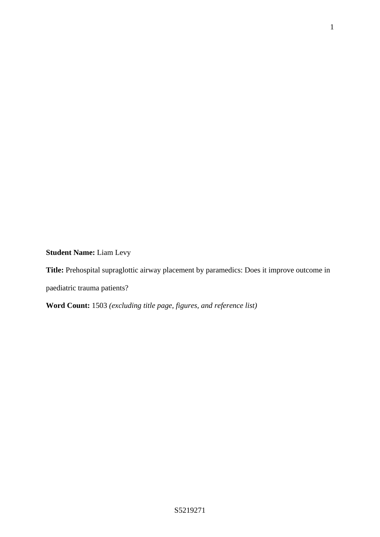**Student Name:** Liam Levy

**Title:** Prehospital supraglottic airway placement by paramedics: Does it improve outcome in paediatric trauma patients?

**Word Count:** 1503 *(excluding title page, figures, and reference list)*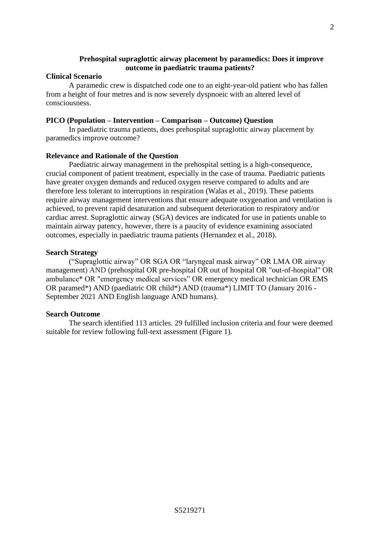# **Prehospital supraglottic airway placement by paramedics: Does it improve outcome in paediatric trauma patients?**

## **Clinical Scenario**

A paramedic crew is dispatched code one to an eight-year-old patient who has fallen from a height of four metres and is now severely dyspnoeic with an altered level of consciousness.

## **PICO (Population – Intervention – Comparison – Outcome) Question**

In paediatric trauma patients, does prehospital supraglottic airway placement by paramedics improve outcome?

## **Relevance and Rationale of the Question**

Paediatric airway management in the prehospital setting is a high-consequence, crucial component of patient treatment, especially in the case of trauma. Paediatric patients have greater oxygen demands and reduced oxygen reserve compared to adults and are therefore less tolerant to interruptions in respiration (Walas et al., 2019). These patients require airway management interventions that ensure adequate oxygenation and ventilation is achieved, to prevent rapid desaturation and subsequent deterioration to respiratory and/or cardiac arrest. Supraglottic airway (SGA) devices are indicated for use in patients unable to maintain airway patency, however, there is a paucity of evidence examining associated outcomes, especially in paediatric trauma patients (Hernandez et al., 2018).

## **Search Strategy**

("Supraglottic airway" OR SGA OR "laryngeal mask airway" OR LMA OR airway management) AND (prehospital OR pre-hospital OR out of hospital OR "out-of-hospital" OR ambulance\* OR "emergency medical services" OR emergency medical technician OR EMS OR paramed\*) AND (paediatric OR child\*) AND (trauma\*) LIMIT TO (January 2016 - September 2021 AND English language AND humans).

### **Search Outcome**

The search identified 113 articles. 29 fulfilled inclusion criteria and four were deemed suitable for review following full-text assessment (Figure 1).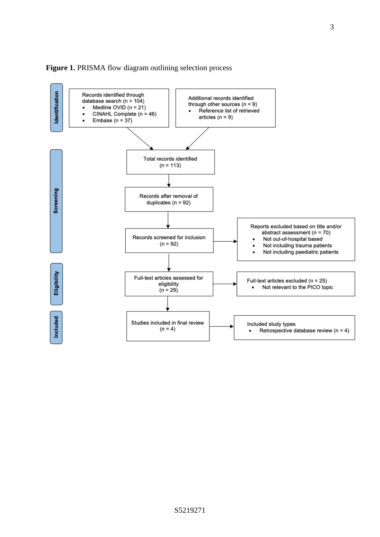

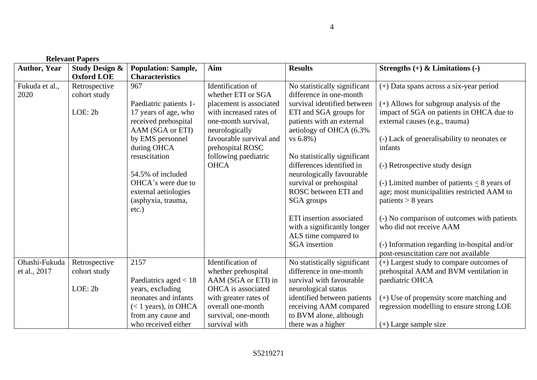| <b>Relevant Papers</b> |                           |                            |                         |                              |                                                  |  |
|------------------------|---------------------------|----------------------------|-------------------------|------------------------------|--------------------------------------------------|--|
| <b>Author, Year</b>    | <b>Study Design &amp;</b> | <b>Population: Sample,</b> | Aim                     | <b>Results</b>               | Strengths $(+)$ & Limitations $(-)$              |  |
|                        | <b>Oxford LOE</b>         | <b>Characteristics</b>     |                         |                              |                                                  |  |
| Fukuda et al.,         | Retrospective             | 967                        | Identification of       | No statistically significant | (+) Data spans across a six-year period          |  |
| 2020                   | cohort study              |                            | whether ETI or SGA      | difference in one-month      |                                                  |  |
|                        |                           | Paediatric patients 1-     | placement is associated | survival identified between  | $(+)$ Allows for subgroup analysis of the        |  |
|                        | LOE: 2b                   | 17 years of age, who       | with increased rates of | ETI and SGA groups for       | impact of SGA on patients in OHCA due to         |  |
|                        |                           | received prehospital       | one-month survival,     | patients with an external    | external causes (e.g., trauma)                   |  |
|                        |                           | AAM (SGA or ETI)           | neurologically          | aetiology of OHCA (6.3%      |                                                  |  |
|                        |                           | by EMS personnel           | favourable survival and | vs 6.8%)                     | (-) Lack of generalisability to neonates or      |  |
|                        |                           | during OHCA                | prehospital ROSC        |                              | infants                                          |  |
|                        |                           | resuscitation              | following paediatric    | No statistically significant |                                                  |  |
|                        |                           |                            | <b>OHCA</b>             | differences identified in    | (-) Retrospective study design                   |  |
|                        |                           | 54.5% of included          |                         | neurologically favourable    |                                                  |  |
|                        |                           | OHCA's were due to         |                         | survival or prehospital      | (-) Limited number of patients $\leq$ 8 years of |  |
|                        |                           | external aetiologies       |                         | ROSC between ETI and         | age; most municipalities restricted AAM to       |  |
|                        |                           | (asphyxia, trauma,         |                         | SGA groups                   | patients $> 8$ years                             |  |
|                        |                           | $etc.$ )                   |                         |                              |                                                  |  |
|                        |                           |                            |                         | ETI insertion associated     | (-) No comparison of outcomes with patients      |  |
|                        |                           |                            |                         | with a significantly longer  | who did not receive AAM                          |  |
|                        |                           |                            |                         | ALS time compared to         |                                                  |  |
|                        |                           |                            |                         | <b>SGA</b> insertion         | (-) Information regarding in-hospital and/or     |  |
|                        |                           |                            |                         |                              | post-resuscitation care not available            |  |
| Ohashi-Fukuda          | Retrospective             | 2157                       | Identification of       | No statistically significant | (+) Largest study to compare outcomes of         |  |
| et al., 2017           | cohort study              |                            | whether prehospital     | difference in one-month      | prehospital AAM and BVM ventilation in           |  |
|                        |                           | Paediatrics aged $<$ 18    | AAM (SGA or ETI) in     | survival with favourable     | paediatric OHCA                                  |  |
|                        | LOE: 2b                   | years, excluding           | OHCA is associated      | neurological status          |                                                  |  |
|                        |                           | neonates and infants       | with greater rates of   | identified between patients  | (+) Use of propensity score matching and         |  |
|                        |                           | $(< 1$ years), in OHCA     | overall one-month       | receiving AAM compared       | regression modelling to ensure strong LOE        |  |
|                        |                           | from any cause and         | survival, one-month     | to BVM alone, although       |                                                  |  |
|                        |                           | who received either        | survival with           | there was a higher           | $(+)$ Large sample size                          |  |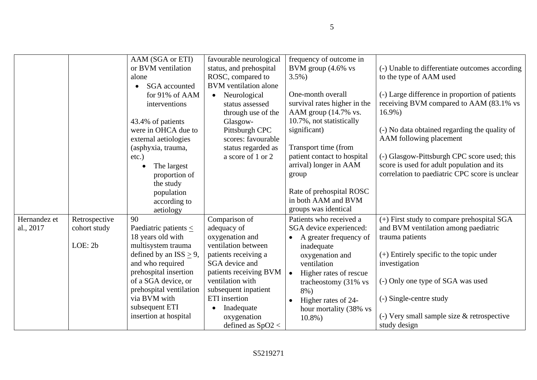|                           |                                          | AAM (SGA or ETI)<br>or BVM ventilation<br>alone<br><b>SGA</b> accounted<br>for 91% of AAM<br>interventions<br>43.4% of patients<br>were in OHCA due to<br>external aetiologies<br>(asphyxia, trauma,<br>$etc.$ )<br>The largest<br>proportion of<br>the study<br>population<br>according to | favourable neurological<br>status, and prehospital<br>ROSC, compared to<br><b>BVM</b> ventilation alone<br>Neurological<br>$\bullet$<br>status assessed<br>through use of the<br>Glasgow-<br>Pittsburgh CPC<br>scores: favourable<br>status regarded as<br>a score of 1 or 2 | frequency of outcome in<br>BVM group $(4.6\%$ vs<br>$3.5\%$ )<br>One-month overall<br>survival rates higher in the<br>AAM group (14.7% vs.<br>10.7%, not statistically<br>significant)<br>Transport time (from<br>patient contact to hospital<br>arrival) longer in AAM<br>group<br>Rate of prehospital ROSC<br>in both AAM and BVM | (-) Unable to differentiate outcomes according<br>to the type of AAM used<br>(-) Large difference in proportion of patients<br>receiving BVM compared to AAM (83.1% vs<br>$16.9\%$<br>(-) No data obtained regarding the quality of<br>AAM following placement<br>(-) Glasgow-Pittsburgh CPC score used; this<br>score is used for adult population and its<br>correlation to paediatric CPC score is unclear |
|---------------------------|------------------------------------------|---------------------------------------------------------------------------------------------------------------------------------------------------------------------------------------------------------------------------------------------------------------------------------------------|------------------------------------------------------------------------------------------------------------------------------------------------------------------------------------------------------------------------------------------------------------------------------|-------------------------------------------------------------------------------------------------------------------------------------------------------------------------------------------------------------------------------------------------------------------------------------------------------------------------------------|---------------------------------------------------------------------------------------------------------------------------------------------------------------------------------------------------------------------------------------------------------------------------------------------------------------------------------------------------------------------------------------------------------------|
| Hernandez et<br>al., 2017 | Retrospective<br>cohort study<br>LOE: 2b | aetiology<br>90<br>Paediatric patients $\leq$<br>18 years old with<br>multisystem trauma<br>defined by an $ISS > 9$ ,<br>and who required<br>prehospital insertion<br>of a SGA device, or<br>prehospital ventilation<br>via BVM with<br>subsequent ETI<br>insertion at hospital             | Comparison of<br>adequacy of<br>oxygenation and<br>ventilation between<br>patients receiving a<br>SGA device and<br>patients receiving BVM<br>ventilation with<br>subsequent inpatient<br><b>ETI</b> insertion<br>Inadequate<br>oxygenation<br>defined as $SpO2 <$           | groups was identical<br>Patients who received a<br>SGA device experienced:<br>A greater frequency of<br>inadequate<br>oxygenation and<br>ventilation<br>Higher rates of rescue<br>$\bullet$<br>tracheostomy (31% vs<br>8%)<br>Higher rates of 24-<br>$\bullet$<br>hour mortality (38% vs<br>$10.8%$ )                               | (+) First study to compare prehospital SGA<br>and BVM ventilation among paediatric<br>trauma patients<br>(+) Entirely specific to the topic under<br>investigation<br>(-) Only one type of SGA was used<br>(-) Single-centre study<br>$\left(\text{-}\right)$ Very small sample size & retrospective<br>study design                                                                                          |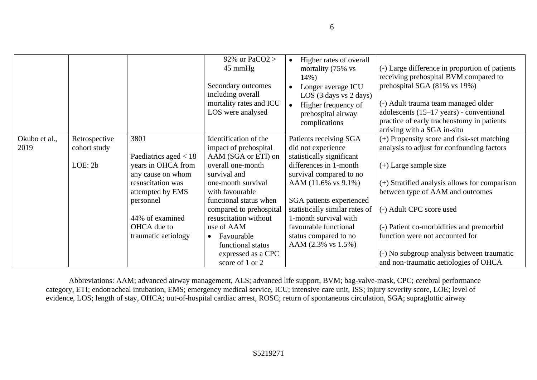|                       |                               |                         | 92% or PaCO2 ><br>45 mmHg<br>Secondary outcomes<br>including overall<br>mortality rates and ICU<br>LOS were analysed | Higher rates of overall<br>$\bullet$<br>mortality (75% vs<br>$14%$ )<br>Longer average ICU<br>$\bullet$<br>$LOS$ (3 days vs 2 days)<br>Higher frequency of<br>$\bullet$<br>prehospital airway<br>complications | (-) Large difference in proportion of patients<br>receiving prehospital BVM compared to<br>prehospital SGA (81% vs 19%)<br>(-) Adult trauma team managed older<br>adolescents $(15-17 \text{ years})$ - conventional<br>practice of early tracheostomy in patients<br>arriving with a SGA in-situ |
|-----------------------|-------------------------------|-------------------------|----------------------------------------------------------------------------------------------------------------------|----------------------------------------------------------------------------------------------------------------------------------------------------------------------------------------------------------------|---------------------------------------------------------------------------------------------------------------------------------------------------------------------------------------------------------------------------------------------------------------------------------------------------|
| Okubo et al.,<br>2019 | Retrospective<br>cohort study | 3801                    | Identification of the<br>impact of prehospital                                                                       | Patients receiving SGA<br>did not experience                                                                                                                                                                   | (+) Propensity score and risk-set matching<br>analysis to adjust for confounding factors                                                                                                                                                                                                          |
|                       |                               | Paediatrics aged $< 18$ | AAM (SGA or ETI) on                                                                                                  | statistically significant                                                                                                                                                                                      |                                                                                                                                                                                                                                                                                                   |
|                       | LOE: 2b                       | years in OHCA from      | overall one-month                                                                                                    | differences in 1-month                                                                                                                                                                                         | $(+)$ Large sample size                                                                                                                                                                                                                                                                           |
|                       |                               | any cause on whom       | survival and                                                                                                         | survival compared to no                                                                                                                                                                                        |                                                                                                                                                                                                                                                                                                   |
|                       |                               | resuscitation was       | one-month survival                                                                                                   | AAM (11.6% vs 9.1%)                                                                                                                                                                                            | (+) Stratified analysis allows for comparison                                                                                                                                                                                                                                                     |
|                       |                               | attempted by EMS        | with favourable                                                                                                      |                                                                                                                                                                                                                | between type of AAM and outcomes                                                                                                                                                                                                                                                                  |
|                       |                               | personnel               | functional status when                                                                                               | SGA patients experienced                                                                                                                                                                                       |                                                                                                                                                                                                                                                                                                   |
|                       |                               |                         | compared to prehospital                                                                                              | statistically similar rates of                                                                                                                                                                                 | (-) Adult CPC score used                                                                                                                                                                                                                                                                          |
|                       |                               | 44% of examined         | resuscitation without                                                                                                | 1-month survival with                                                                                                                                                                                          |                                                                                                                                                                                                                                                                                                   |
|                       |                               | OHCA due to             | use of AAM                                                                                                           | favourable functional                                                                                                                                                                                          | (-) Patient co-morbidities and premorbid                                                                                                                                                                                                                                                          |
|                       |                               | traumatic aetiology     | Favourable<br>$\bullet$                                                                                              | status compared to no                                                                                                                                                                                          | function were not accounted for                                                                                                                                                                                                                                                                   |
|                       |                               |                         | functional status                                                                                                    | AAM (2.3% vs 1.5%)                                                                                                                                                                                             |                                                                                                                                                                                                                                                                                                   |
|                       |                               |                         | expressed as a CPC                                                                                                   |                                                                                                                                                                                                                | (-) No subgroup analysis between traumatic                                                                                                                                                                                                                                                        |
|                       |                               |                         | score of 1 or 2                                                                                                      |                                                                                                                                                                                                                | and non-traumatic aetiologies of OHCA                                                                                                                                                                                                                                                             |

Abbreviations: AAM; advanced airway management, ALS; advanced life support, BVM; bag-valve-mask, CPC; cerebral performance category, ETI; endotracheal intubation, EMS; emergency medical service, ICU; intensive care unit, ISS; injury severity score, LOE; level of evidence, LOS; length of stay, OHCA; out-of-hospital cardiac arrest, ROSC; return of spontaneous circulation, SGA; supraglottic airway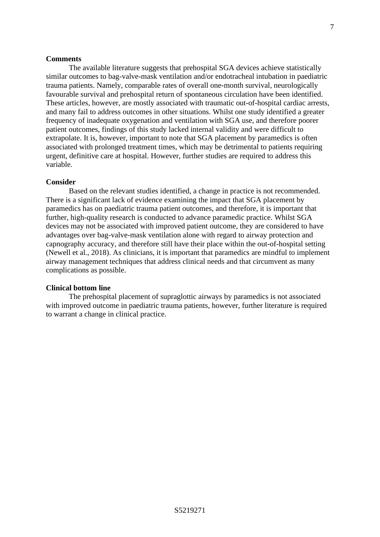### **Comments**

The available literature suggests that prehospital SGA devices achieve statistically similar outcomes to bag-valve-mask ventilation and/or endotracheal intubation in paediatric trauma patients. Namely, comparable rates of overall one-month survival, neurologically favourable survival and prehospital return of spontaneous circulation have been identified. These articles, however, are mostly associated with traumatic out-of-hospital cardiac arrests, and many fail to address outcomes in other situations. Whilst one study identified a greater frequency of inadequate oxygenation and ventilation with SGA use, and therefore poorer patient outcomes, findings of this study lacked internal validity and were difficult to extrapolate. It is, however, important to note that SGA placement by paramedics is often associated with prolonged treatment times, which may be detrimental to patients requiring urgent, definitive care at hospital. However, further studies are required to address this variable.

#### **Consider**

Based on the relevant studies identified, a change in practice is not recommended. There is a significant lack of evidence examining the impact that SGA placement by paramedics has on paediatric trauma patient outcomes, and therefore, it is important that further, high-quality research is conducted to advance paramedic practice. Whilst SGA devices may not be associated with improved patient outcome, they are considered to have advantages over bag-valve-mask ventilation alone with regard to airway protection and capnography accuracy, and therefore still have their place within the out-of-hospital setting (Newell et al., 2018). As clinicians, it is important that paramedics are mindful to implement airway management techniques that address clinical needs and that circumvent as many complications as possible.

### **Clinical bottom line**

The prehospital placement of supraglottic airways by paramedics is not associated with improved outcome in paediatric trauma patients, however, further literature is required to warrant a change in clinical practice.